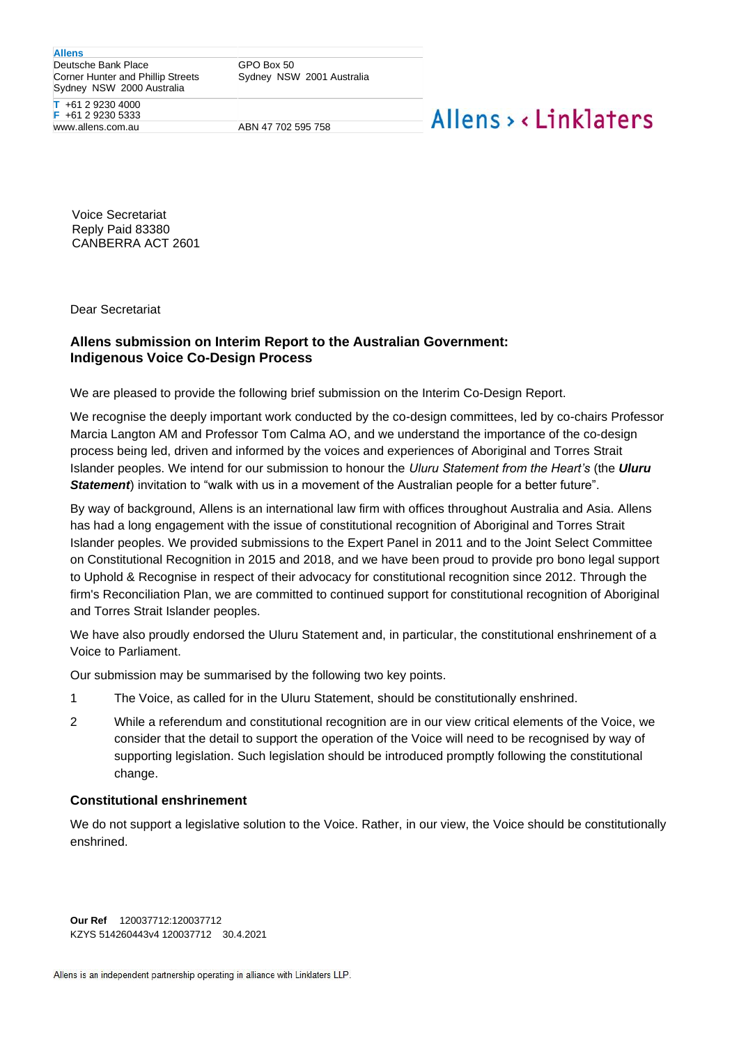Deutsche Bank Place Corner Hunter and Phillip Streets Sydney NSW 2000 Australia **T** +61 2 9230 4000 **F** +61 2 9230 5333

GPO Box 50 Sydney NSW 2001 Australia

#### www.allens.com.au ABN 47 702 595 758

# Allens > <linklaters

Voice Secretariat Reply Paid 83380 CANBERRA ACT 2601

Dear Secretariat

### **Allens submission on Interim Report to the Australian Government: Indigenous Voice Co-Design Process**

We are pleased to provide the following brief submission on the Interim Co-Design Report.

We recognise the deeply important work conducted by the co-design committees, led by co-chairs Professor Marcia Langton AM and Professor Tom Calma AO, and we understand the importance of the co-design process being led, driven and informed by the voices and experiences of Aboriginal and Torres Strait Islander peoples. We intend for our submission to honour the *Uluru Statement from the Heart's* (the *Uluru*  **Statement**) invitation to "walk with us in a movement of the Australian people for a better future".

By way of background, Allens is an international law firm with offices throughout Australia and Asia. Allens has had a long engagement with the issue of constitutional recognition of Aboriginal and Torres Strait Islander peoples. We provided submissions to the Expert Panel in 2011 and to the Joint Select Committee on Constitutional Recognition in 2015 and 2018, and we have been proud to provide pro bono legal support to Uphold & Recognise in respect of their advocacy for constitutional recognition since 2012. Through the firm's Reconciliation Plan, we are committed to continued support for constitutional recognition of Aboriginal and Torres Strait Islander peoples.

We have also proudly endorsed the Uluru Statement and, in particular, the constitutional enshrinement of a Voice to Parliament.

Our submission may be summarised by the following two key points.

- 1 The Voice, as called for in the Uluru Statement, should be constitutionally enshrined.
- 2 While a referendum and constitutional recognition are in our view critical elements of the Voice, we consider that the detail to support the operation of the Voice will need to be recognised by way of supporting legislation. Such legislation should be introduced promptly following the constitutional change.

#### **Constitutional enshrinement**

We do not support a legislative solution to the Voice. Rather, in our view, the Voice should be constitutionally enshrined.

**Our Ref** 120037712:120037712 KZYS 514260443v4 120037712 30.4.2021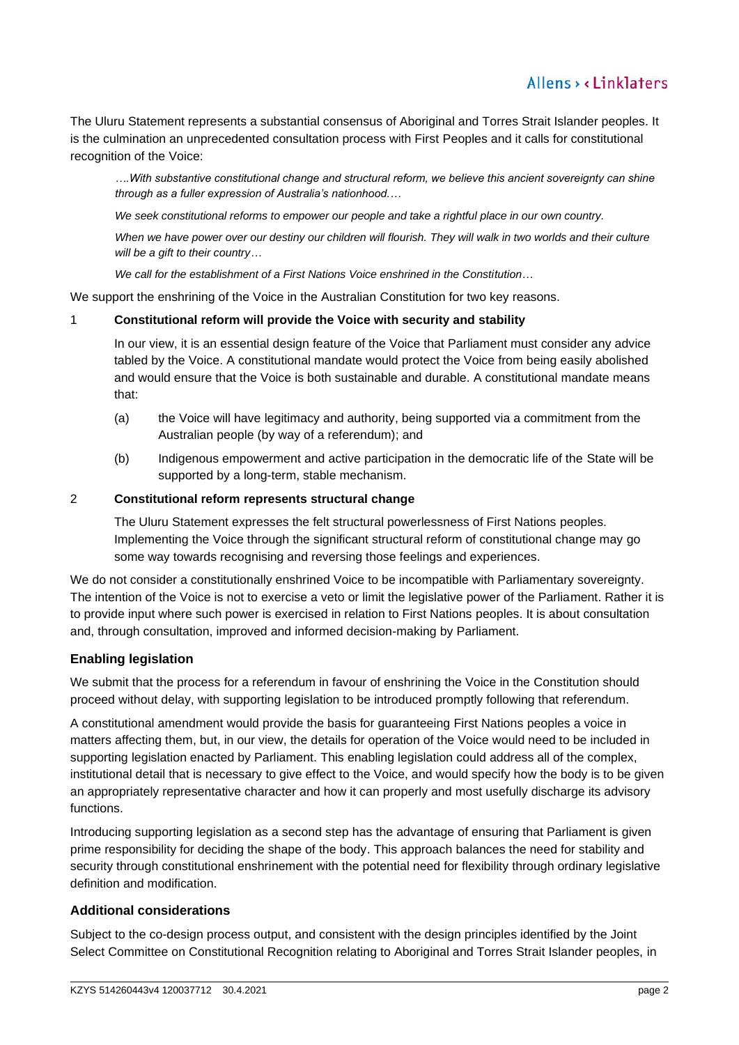## Allens > < Linklaters

The Uluru Statement represents a substantial consensus of Aboriginal and Torres Strait Islander peoples. It is the culmination an unprecedented consultation process with First Peoples and it calls for constitutional recognition of the Voice:

*….With substantive constitutional change and structural reform, we believe this ancient sovereignty can shine through as a fuller expression of Australia's nationhood.…*

*We seek constitutional reforms to empower our people and take a rightful place in our own country.* 

*When we have power over our destiny our children will flourish. They will walk in two worlds and their culture will be a gift to their country…*

*We call for the establishment of a First Nations Voice enshrined in the Constitution…*

We support the enshrining of the Voice in the Australian Constitution for two key reasons.

#### 1 **Constitutional reform will provide the Voice with security and stability**

In our view, it is an essential design feature of the Voice that Parliament must consider any advice tabled by the Voice. A constitutional mandate would protect the Voice from being easily abolished and would ensure that the Voice is both sustainable and durable. A constitutional mandate means that:

- (a) the Voice will have legitimacy and authority, being supported via a commitment from the Australian people (by way of a referendum); and
- (b) Indigenous empowerment and active participation in the democratic life of the State will be supported by a long-term, stable mechanism.

#### 2 **Constitutional reform represents structural change**

The Uluru Statement expresses the felt structural powerlessness of First Nations peoples. Implementing the Voice through the significant structural reform of constitutional change may go some way towards recognising and reversing those feelings and experiences.

We do not consider a constitutionally enshrined Voice to be incompatible with Parliamentary sovereignty. The intention of the Voice is not to exercise a veto or limit the legislative power of the Parliament. Rather it is to provide input where such power is exercised in relation to First Nations peoples. It is about consultation and, through consultation, improved and informed decision-making by Parliament.

#### **Enabling legislation**

We submit that the process for a referendum in favour of enshrining the Voice in the Constitution should proceed without delay, with supporting legislation to be introduced promptly following that referendum.

A constitutional amendment would provide the basis for guaranteeing First Nations peoples a voice in matters affecting them, but, in our view, the details for operation of the Voice would need to be included in supporting legislation enacted by Parliament. This enabling legislation could address all of the complex, institutional detail that is necessary to give effect to the Voice, and would specify how the body is to be given an appropriately representative character and how it can properly and most usefully discharge its advisory functions.

Introducing supporting legislation as a second step has the advantage of ensuring that Parliament is given prime responsibility for deciding the shape of the body. This approach balances the need for stability and security through constitutional enshrinement with the potential need for flexibility through ordinary legislative definition and modification.

#### **Additional considerations**

Subject to the co-design process output, and consistent with the design principles identified by the Joint Select Committee on Constitutional Recognition relating to Aboriginal and Torres Strait Islander peoples, in